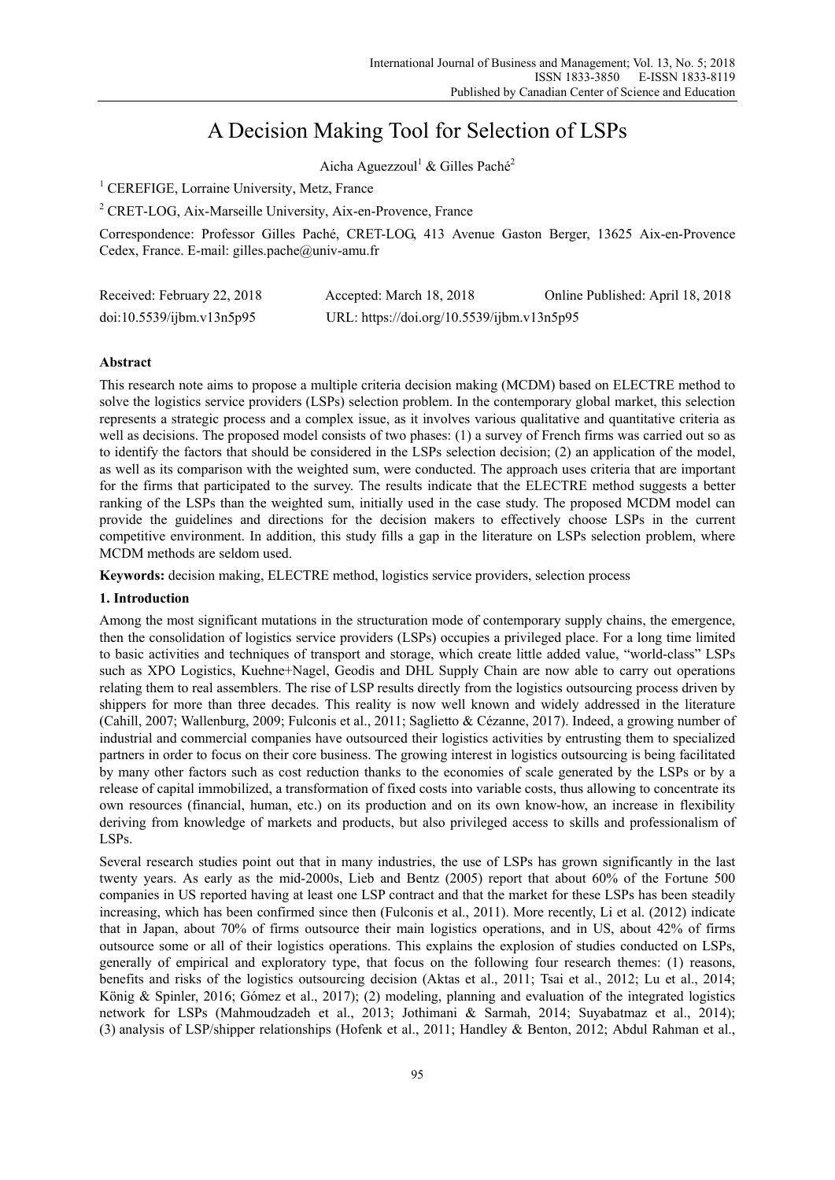# A Decision Making Tool for Selection of LSPs

Aicha Aguezzoul<sup>1</sup> & Gilles Paché<sup>2</sup>

<sup>1</sup> CEREFIGE, Lorraine University, Metz, France

<sup>2</sup> CRET-LOG, Aix-Marseille University, Aix-en-Provence, France

Correspondence: Professor Gilles Paché, CRET-LOG, 413 Avenue Gaston Berger, 13625 Aix-en-Provence Cedex, France. E-mail: gilles.pache@univ-amu.fr

| Received: February 22, 2018 | Accepted: March 18, 2018                   | Online Published: April 18, 2018 |
|-----------------------------|--------------------------------------------|----------------------------------|
| doi:10.5539/ijbm.v13n5p95   | URL: https://doi.org/10.5539/ijbm.v13n5p95 |                                  |

# **Abstract**

This research note aims to propose a multiple criteria decision making (MCDM) based on ELECTRE method to solve the logistics service providers (LSPs) selection problem. In the contemporary global market, this selection represents a strategic process and a complex issue, as it involves various qualitative and quantitative criteria as well as decisions. The proposed model consists of two phases: (1) a survey of French firms was carried out so as to identify the factors that should be considered in the LSPs selection decision; (2) an application of the model, as well as its comparison with the weighted sum, were conducted. The approach uses criteria that are important for the firms that participated to the survey. The results indicate that the ELECTRE method suggests a better ranking of the LSPs than the weighted sum, initially used in the case study. The proposed MCDM model can provide the guidelines and directions for the decision makers to effectively choose LSPs in the current competitive environment. In addition, this study fills a gap in the literature on LSPs selection problem, where MCDM methods are seldom used.

**Keywords:** decision making, ELECTRE method, logistics service providers, selection process

# **1. Introduction**

Among the most significant mutations in the structuration mode of contemporary supply chains, the emergence, then the consolidation of logistics service providers (LSPs) occupies a privileged place. For a long time limited to basic activities and techniques of transport and storage, which create little added value, "world-class" LSPs such as XPO Logistics, Kuehne+Nagel, Geodis and DHL Supply Chain are now able to carry out operations relating them to real assemblers. The rise of LSP results directly from the logistics outsourcing process driven by shippers for more than three decades. This reality is now well known and widely addressed in the literature (Cahill, 2007; Wallenburg, 2009; Fulconis et al., 2011; Saglietto & Cézanne, 2017). Indeed, a growing number of industrial and commercial companies have outsourced their logistics activities by entrusting them to specialized partners in order to focus on their core business. The growing interest in logistics outsourcing is being facilitated by many other factors such as cost reduction thanks to the economies of scale generated by the LSPs or by a release of capital immobilized, a transformation of fixed costs into variable costs, thus allowing to concentrate its own resources (financial, human, etc.) on its production and on its own know-how, an increase in flexibility deriving from knowledge of markets and products, but also privileged access to skills and professionalism of LSPs.

Several research studies point out that in many industries, the use of LSPs has grown significantly in the last twenty years. As early as the mid-2000s, Lieb and Bentz (2005) report that about 60% of the Fortune 500 companies in US reported having at least one LSP contract and that the market for these LSPs has been steadily increasing, which has been confirmed since then (Fulconis et al., 2011). More recently, Li et al. (2012) indicate that in Japan, about 70% of firms outsource their main logistics operations, and in US, about 42% of firms outsource some or all of their logistics operations. This explains the explosion of studies conducted on LSPs, generally of empirical and exploratory type, that focus on the following four research themes: (1) reasons, benefits and risks of the logistics outsourcing decision (Aktas et al., 2011; Tsai et al., 2012; Lu et al., 2014; König & Spinler, 2016; Gómez et al., 2017); (2) modeling, planning and evaluation of the integrated logistics network for LSPs (Mahmoudzadeh et al., 2013; Jothimani & Sarmah, 2014; Suyabatmaz et al., 2014); (3) analysis of LSP/shipper relationships (Hofenk et al., 2011; Handley & Benton, 2012; Abdul Rahman et al.,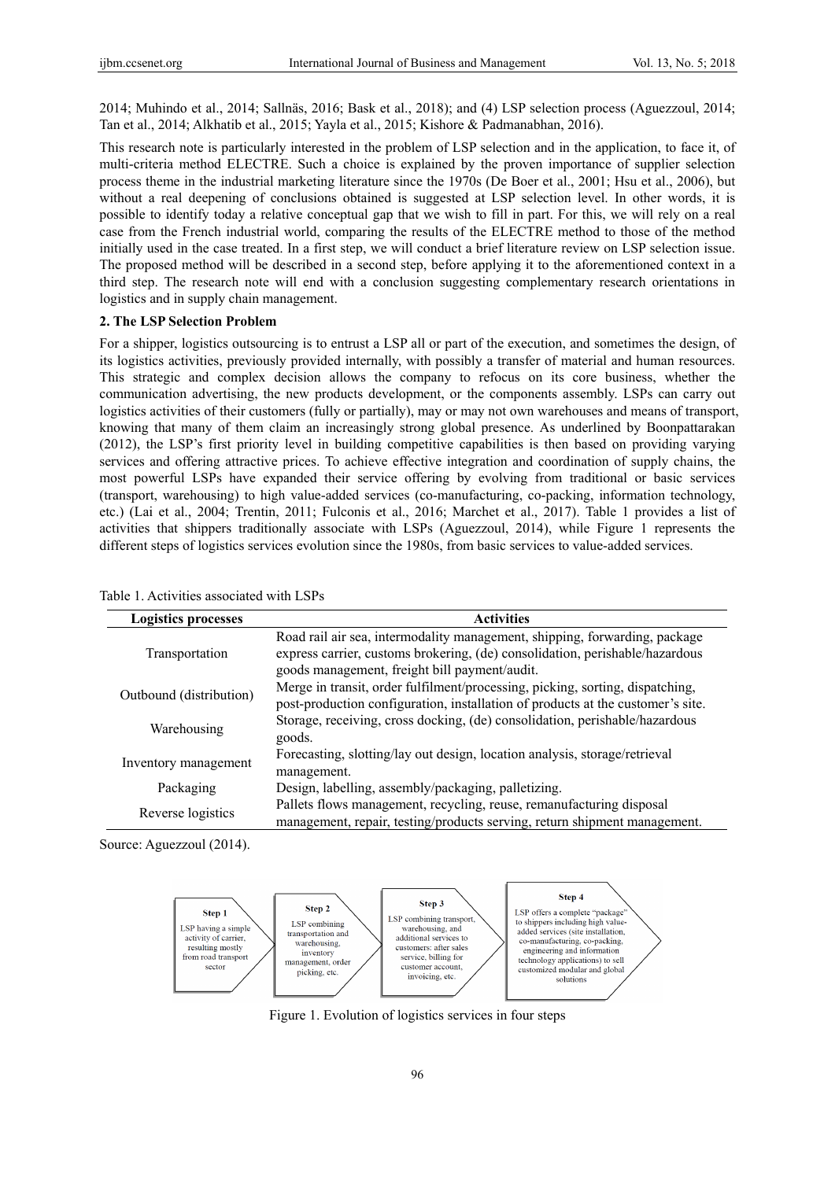2014; Muhindo et al., 2014; Sallnäs, 2016; Bask et al., 2018); and (4) LSP selection process (Aguezzoul, 2014; Tan et al., 2014; Alkhatib et al., 2015; Yayla et al., 2015; Kishore & Padmanabhan, 2016).

This research note is particularly interested in the problem of LSP selection and in the application, to face it, of multi-criteria method ELECTRE. Such a choice is explained by the proven importance of supplier selection process theme in the industrial marketing literature since the 1970s (De Boer et al., 2001; Hsu et al., 2006), but without a real deepening of conclusions obtained is suggested at LSP selection level. In other words, it is possible to identify today a relative conceptual gap that we wish to fill in part. For this, we will rely on a real case from the French industrial world, comparing the results of the ELECTRE method to those of the method initially used in the case treated. In a first step, we will conduct a brief literature review on LSP selection issue. The proposed method will be described in a second step, before applying it to the aforementioned context in a third step. The research note will end with a conclusion suggesting complementary research orientations in logistics and in supply chain management.

## **2. The LSP Selection Problem**

For a shipper, logistics outsourcing is to entrust a LSP all or part of the execution, and sometimes the design, of its logistics activities, previously provided internally, with possibly a transfer of material and human resources. This strategic and complex decision allows the company to refocus on its core business, whether the communication advertising, the new products development, or the components assembly. LSPs can carry out logistics activities of their customers (fully or partially), may or may not own warehouses and means of transport, knowing that many of them claim an increasingly strong global presence. As underlined by Boonpattarakan (2012), the LSP's first priority level in building competitive capabilities is then based on providing varying services and offering attractive prices. To achieve effective integration and coordination of supply chains, the most powerful LSPs have expanded their service offering by evolving from traditional or basic services (transport, warehousing) to high value-added services (co-manufacturing, co-packing, information technology, etc.) (Lai et al., 2004; Trentin, 2011; Fulconis et al., 2016; Marchet et al., 2017). Table 1 provides a list of activities that shippers traditionally associate with LSPs (Aguezzoul, 2014), while Figure 1 represents the different steps of logistics services evolution since the 1980s, from basic services to value-added services.

| <b>Logistics processes</b> | <b>Activities</b>                                                               |  |
|----------------------------|---------------------------------------------------------------------------------|--|
|                            | Road rail air sea, intermodality management, shipping, forwarding, package      |  |
| Transportation             | express carrier, customs brokering, (de) consolidation, perishable/hazardous    |  |
|                            | goods management, freight bill payment/audit.                                   |  |
| Outbound (distribution)    | Merge in transit, order fulfilment/processing, picking, sorting, dispatching,   |  |
|                            | post-production configuration, installation of products at the customer's site. |  |
| Warehousing                | Storage, receiving, cross docking, (de) consolidation, perishable/hazardous     |  |
|                            | goods.                                                                          |  |
| Inventory management       | Forecasting, slotting/lay out design, location analysis, storage/retrieval      |  |
|                            | management.                                                                     |  |
| Packaging                  | Design, labelling, assembly/packaging, palletizing.                             |  |
| Reverse logistics          | Pallets flows management, recycling, reuse, remanufacturing disposal            |  |
|                            | management, repair, testing/products serving, return shipment management.       |  |

Table 1. Activities associated with LSPs

Source: Aguezzoul (2014).



Figure 1. Evolution of logistics services in four steps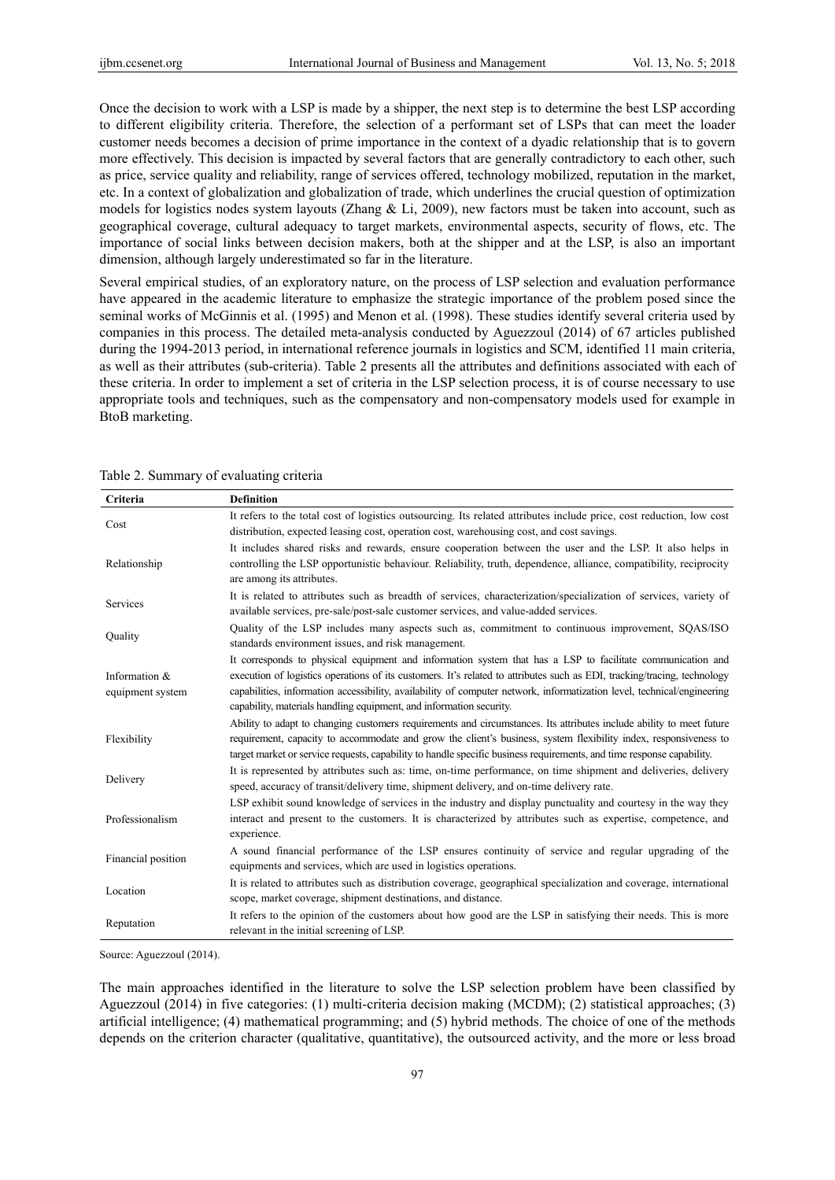Once the decision to work with a LSP is made by a shipper, the next step is to determine the best LSP according to different eligibility criteria. Therefore, the selection of a performant set of LSPs that can meet the loader customer needs becomes a decision of prime importance in the context of a dyadic relationship that is to govern more effectively. This decision is impacted by several factors that are generally contradictory to each other, such as price, service quality and reliability, range of services offered, technology mobilized, reputation in the market, etc. In a context of globalization and globalization of trade, which underlines the crucial question of optimization models for logistics nodes system layouts (Zhang & Li, 2009), new factors must be taken into account, such as geographical coverage, cultural adequacy to target markets, environmental aspects, security of flows, etc. The importance of social links between decision makers, both at the shipper and at the LSP, is also an important dimension, although largely underestimated so far in the literature.

Several empirical studies, of an exploratory nature, on the process of LSP selection and evaluation performance have appeared in the academic literature to emphasize the strategic importance of the problem posed since the seminal works of McGinnis et al. (1995) and Menon et al. (1998). These studies identify several criteria used by companies in this process. The detailed meta-analysis conducted by Aguezzoul (2014) of 67 articles published during the 1994-2013 period, in international reference journals in logistics and SCM, identified 11 main criteria, as well as their attributes (sub-criteria). Table 2 presents all the attributes and definitions associated with each of these criteria. In order to implement a set of criteria in the LSP selection process, it is of course necessary to use appropriate tools and techniques, such as the compensatory and non-compensatory models used for example in BtoB marketing.

| <b>Criteria</b>                   | <b>Definition</b>                                                                                                                                                                                                                                                                                                                                                                                                                        |
|-----------------------------------|------------------------------------------------------------------------------------------------------------------------------------------------------------------------------------------------------------------------------------------------------------------------------------------------------------------------------------------------------------------------------------------------------------------------------------------|
| Cost                              | It refers to the total cost of logistics outsourcing. Its related attributes include price, cost reduction, low cost<br>distribution, expected leasing cost, operation cost, warehousing cost, and cost savings.                                                                                                                                                                                                                         |
| Relationship                      | It includes shared risks and rewards, ensure cooperation between the user and the LSP. It also helps in<br>controlling the LSP opportunistic behaviour. Reliability, truth, dependence, alliance, compatibility, reciprocity<br>are among its attributes.                                                                                                                                                                                |
| Services                          | It is related to attributes such as breadth of services, characterization/specialization of services, variety of<br>available services, pre-sale/post-sale customer services, and value-added services.                                                                                                                                                                                                                                  |
| Quality                           | Quality of the LSP includes many aspects such as, commitment to continuous improvement, SQAS/ISO<br>standards environment issues, and risk management.                                                                                                                                                                                                                                                                                   |
| Information &<br>equipment system | It corresponds to physical equipment and information system that has a LSP to facilitate communication and<br>execution of logistics operations of its customers. It's related to attributes such as EDI, tracking/tracing, technology<br>capabilities, information accessibility, availability of computer network, informatization level, technical/engineering<br>capability, materials handling equipment, and information security. |
| Flexibility                       | Ability to adapt to changing customers requirements and circumstances. Its attributes include ability to meet future<br>requirement, capacity to accommodate and grow the client's business, system flexibility index, responsiveness to<br>target market or service requests, capability to handle specific business requirements, and time response capability.                                                                        |
| Delivery                          | It is represented by attributes such as: time, on-time performance, on time shipment and deliveries, delivery<br>speed, accuracy of transit/delivery time, shipment delivery, and on-time delivery rate.                                                                                                                                                                                                                                 |
| Professionalism                   | LSP exhibit sound knowledge of services in the industry and display punctuality and courtesy in the way they<br>interact and present to the customers. It is characterized by attributes such as expertise, competence, and<br>experience.                                                                                                                                                                                               |
| Financial position                | A sound financial performance of the LSP ensures continuity of service and regular upgrading of the<br>equipments and services, which are used in logistics operations.                                                                                                                                                                                                                                                                  |
| Location                          | It is related to attributes such as distribution coverage, geographical specialization and coverage, international<br>scope, market coverage, shipment destinations, and distance.                                                                                                                                                                                                                                                       |
| Reputation                        | It refers to the opinion of the customers about how good are the LSP in satisfying their needs. This is more<br>relevant in the initial screening of LSP.                                                                                                                                                                                                                                                                                |

| Table 2. Summary of evaluating criteria |  |  |
|-----------------------------------------|--|--|
|                                         |  |  |

Source: Aguezzoul (2014).

The main approaches identified in the literature to solve the LSP selection problem have been classified by Aguezzoul (2014) in five categories: (1) multi-criteria decision making (MCDM); (2) statistical approaches; (3) artificial intelligence; (4) mathematical programming; and (5) hybrid methods. The choice of one of the methods depends on the criterion character (qualitative, quantitative), the outsourced activity, and the more or less broad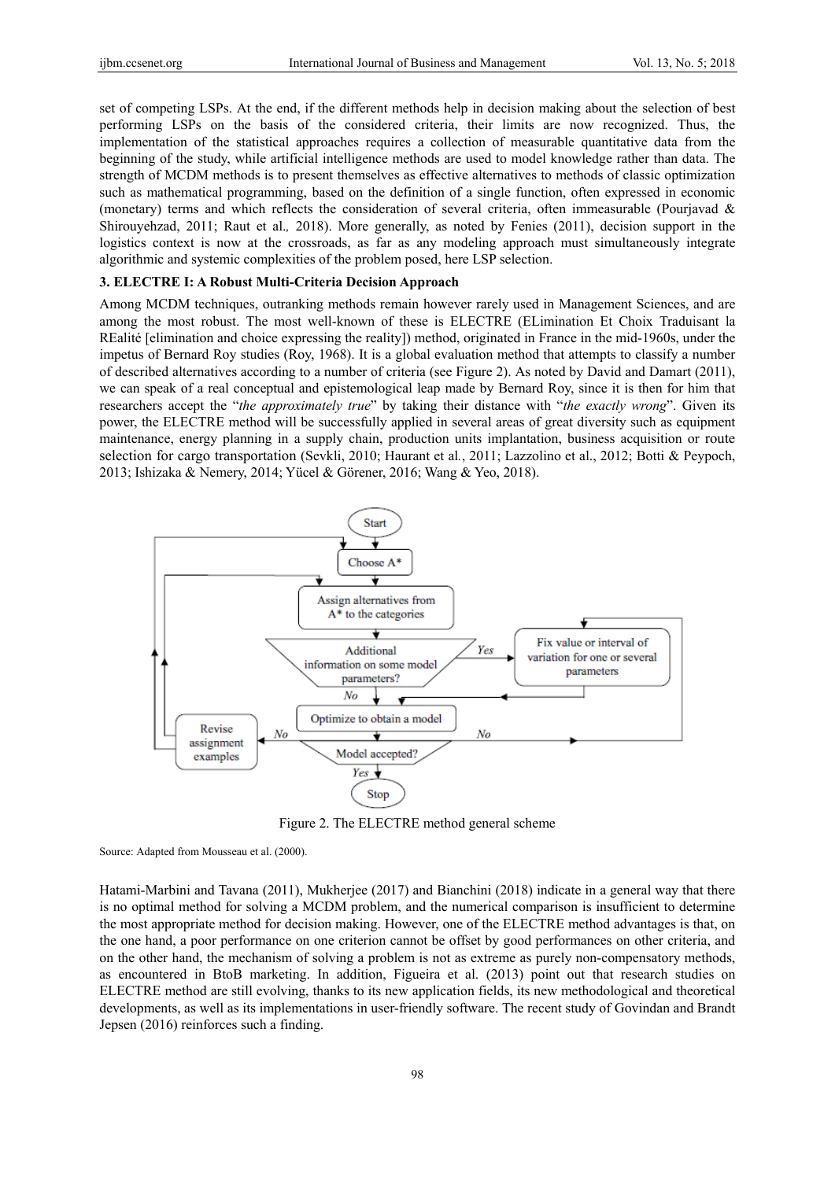set of competing LSPs. At the end, if the different methods help in decision making about the selection of best performing LSPs on the basis of the considered criteria, their limits are now recognized. Thus, the implementation of the statistical approaches requires a collection of measurable quantitative data from the beginning of the study, while artificial intelligence methods are used to model knowledge rather than data. The strength of MCDM methods is to present themselves as effective alternatives to methods of classic optimization such as mathematical programming, based on the definition of a single function, often expressed in economic (monetary) terms and which reflects the consideration of several criteria, often immeasurable (Pourjavad & Shirouyehzad, 2011; Raut et al.*,* 2018). More generally, as noted by Fenies (2011), decision support in the logistics context is now at the crossroads, as far as any modeling approach must simultaneously integrate algorithmic and systemic complexities of the problem posed, here LSP selection.

## **3. ELECTRE I: A Robust Multi-Criteria Decision Approach**

Among MCDM techniques, outranking methods remain however rarely used in Management Sciences, and are among the most robust. The most well-known of these is ELECTRE (ELimination Et Choix Traduisant la REalité [elimination and choice expressing the reality]) method, originated in France in the mid-1960s, under the impetus of Bernard Roy studies (Roy, 1968). It is a global evaluation method that attempts to classify a number of described alternatives according to a number of criteria (see Figure 2). As noted by David and Damart (2011), we can speak of a real conceptual and epistemological leap made by Bernard Roy, since it is then for him that researchers accept the "*the approximately true*" by taking their distance with "*the exactly wrong*". Given its power, the ELECTRE method will be successfully applied in several areas of great diversity such as equipment maintenance, energy planning in a supply chain, production units implantation, business acquisition or route selection for cargo transportation (Sevkli, 2010; Haurant et al*.*, 2011; Lazzolino et al., 2012; Botti & Peypoch, 2013; Ishizaka & Nemery, 2014; Yücel & Görener, 2016; Wang & Yeo, 2018).



Figure 2. The ELECTRE method general scheme

Source: Adapted from Mousseau et al. (2000).

Hatami-Marbini and Tavana (2011), Mukherjee (2017) and Bianchini (2018) indicate in a general way that there is no optimal method for solving a MCDM problem, and the numerical comparison is insufficient to determine the most appropriate method for decision making. However, one of the ELECTRE method advantages is that, on the one hand, a poor performance on one criterion cannot be offset by good performances on other criteria, and on the other hand, the mechanism of solving a problem is not as extreme as purely non-compensatory methods, as encountered in BtoB marketing. In addition, Figueira et al. (2013) point out that research studies on ELECTRE method are still evolving, thanks to its new application fields, its new methodological and theoretical developments, as well as its implementations in user-friendly software. The recent study of Govindan and Brandt Jepsen (2016) reinforces such a finding.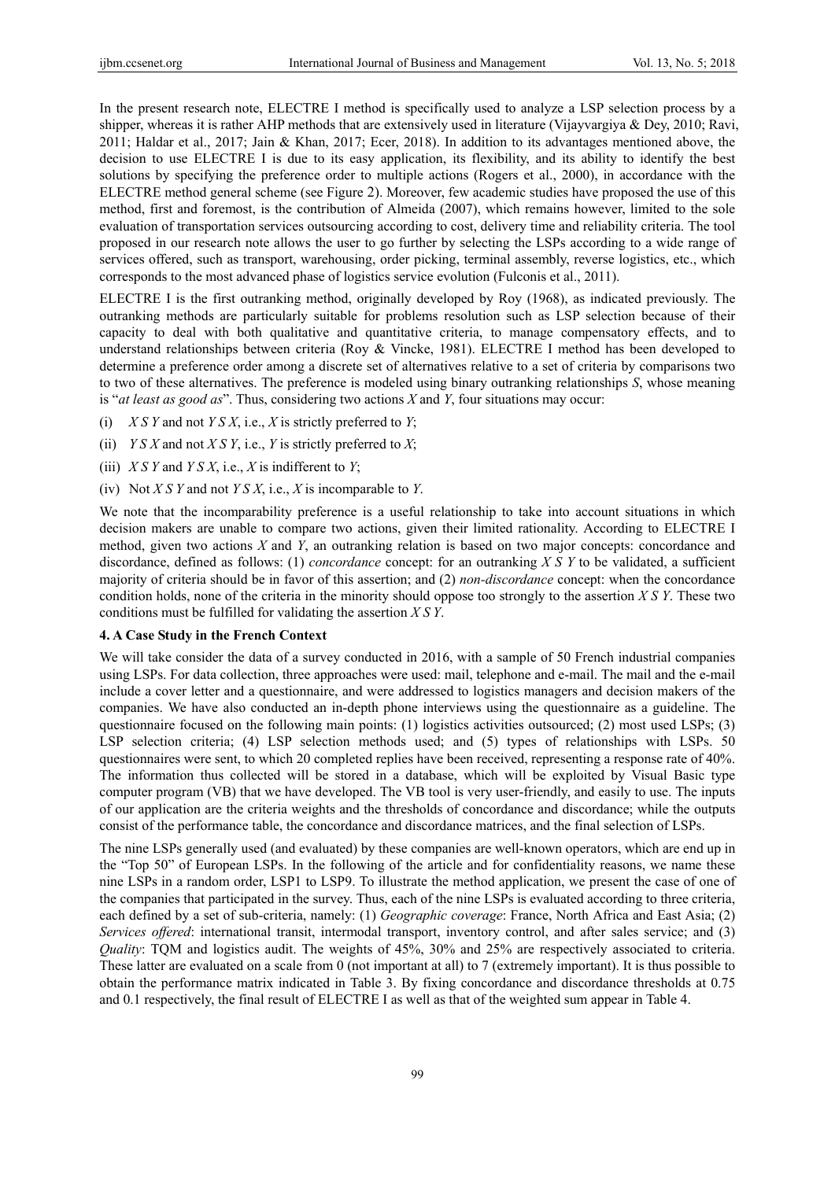In the present research note, ELECTRE I method is specifically used to analyze a LSP selection process by a shipper, whereas it is rather AHP methods that are extensively used in literature (Vijayvargiya & Dey, 2010; Ravi, 2011; Haldar et al., 2017; Jain & Khan, 2017; Ecer, 2018). In addition to its advantages mentioned above, the decision to use ELECTRE I is due to its easy application, its flexibility, and its ability to identify the best solutions by specifying the preference order to multiple actions (Rogers et al., 2000), in accordance with the ELECTRE method general scheme (see Figure 2). Moreover, few academic studies have proposed the use of this method, first and foremost, is the contribution of Almeida (2007), which remains however, limited to the sole evaluation of transportation services outsourcing according to cost, delivery time and reliability criteria. The tool proposed in our research note allows the user to go further by selecting the LSPs according to a wide range of services offered, such as transport, warehousing, order picking, terminal assembly, reverse logistics, etc., which corresponds to the most advanced phase of logistics service evolution (Fulconis et al., 2011).

ELECTRE I is the first outranking method, originally developed by Roy (1968), as indicated previously. The outranking methods are particularly suitable for problems resolution such as LSP selection because of their capacity to deal with both qualitative and quantitative criteria, to manage compensatory effects, and to understand relationships between criteria (Roy & Vincke, 1981). ELECTRE I method has been developed to determine a preference order among a discrete set of alternatives relative to a set of criteria by comparisons two to two of these alternatives. The preference is modeled using binary outranking relationships *S*, whose meaning is "*at least as good as*". Thus, considering two actions *X* and *Y*, four situations may occur:

- (i) *X S Y* and not *Y S X*, i.e., *X* is strictly preferred to *Y*;
- (ii) *Y S X* and not *X S Y*, i.e., *Y* is strictly preferred to *X*;
- (iii) *X S Y* and *Y S X*, i.e., *X* is indifferent to *Y*;
- (iv) Not *X S Y* and not *Y S X*, i.e., *X* is incomparable to *Y*.

We note that the incomparability preference is a useful relationship to take into account situations in which decision makers are unable to compare two actions, given their limited rationality. According to ELECTRE I method, given two actions *X* and *Y*, an outranking relation is based on two major concepts: concordance and discordance, defined as follows: (1) *concordance* concept: for an outranking *X S Y* to be validated, a sufficient majority of criteria should be in favor of this assertion; and (2) *non-discordance* concept: when the concordance condition holds, none of the criteria in the minority should oppose too strongly to the assertion *X S Y*. These two conditions must be fulfilled for validating the assertion *X S Y*.

## **4. A Case Study in the French Context**

We will take consider the data of a survey conducted in 2016, with a sample of 50 French industrial companies using LSPs. For data collection, three approaches were used: mail, telephone and e-mail. The mail and the e-mail include a cover letter and a questionnaire, and were addressed to logistics managers and decision makers of the companies. We have also conducted an in-depth phone interviews using the questionnaire as a guideline. The questionnaire focused on the following main points: (1) logistics activities outsourced; (2) most used LSPs; (3) LSP selection criteria; (4) LSP selection methods used; and (5) types of relationships with LSPs. 50 questionnaires were sent, to which 20 completed replies have been received, representing a response rate of 40%. The information thus collected will be stored in a database, which will be exploited by Visual Basic type computer program (VB) that we have developed. The VB tool is very user-friendly, and easily to use. The inputs of our application are the criteria weights and the thresholds of concordance and discordance; while the outputs consist of the performance table, the concordance and discordance matrices, and the final selection of LSPs.

The nine LSPs generally used (and evaluated) by these companies are well-known operators, which are end up in the "Top 50" of European LSPs. In the following of the article and for confidentiality reasons, we name these nine LSPs in a random order, LSP1 to LSP9. To illustrate the method application, we present the case of one of the companies that participated in the survey. Thus, each of the nine LSPs is evaluated according to three criteria, each defined by a set of sub-criteria, namely: (1) *Geographic coverage*: France, North Africa and East Asia; (2) *Services offered*: international transit, intermodal transport, inventory control, and after sales service; and (3) *Quality*: TQM and logistics audit. The weights of 45%, 30% and 25% are respectively associated to criteria. These latter are evaluated on a scale from 0 (not important at all) to 7 (extremely important). It is thus possible to obtain the performance matrix indicated in Table 3. By fixing concordance and discordance thresholds at 0.75 and 0.1 respectively, the final result of ELECTRE I as well as that of the weighted sum appear in Table 4.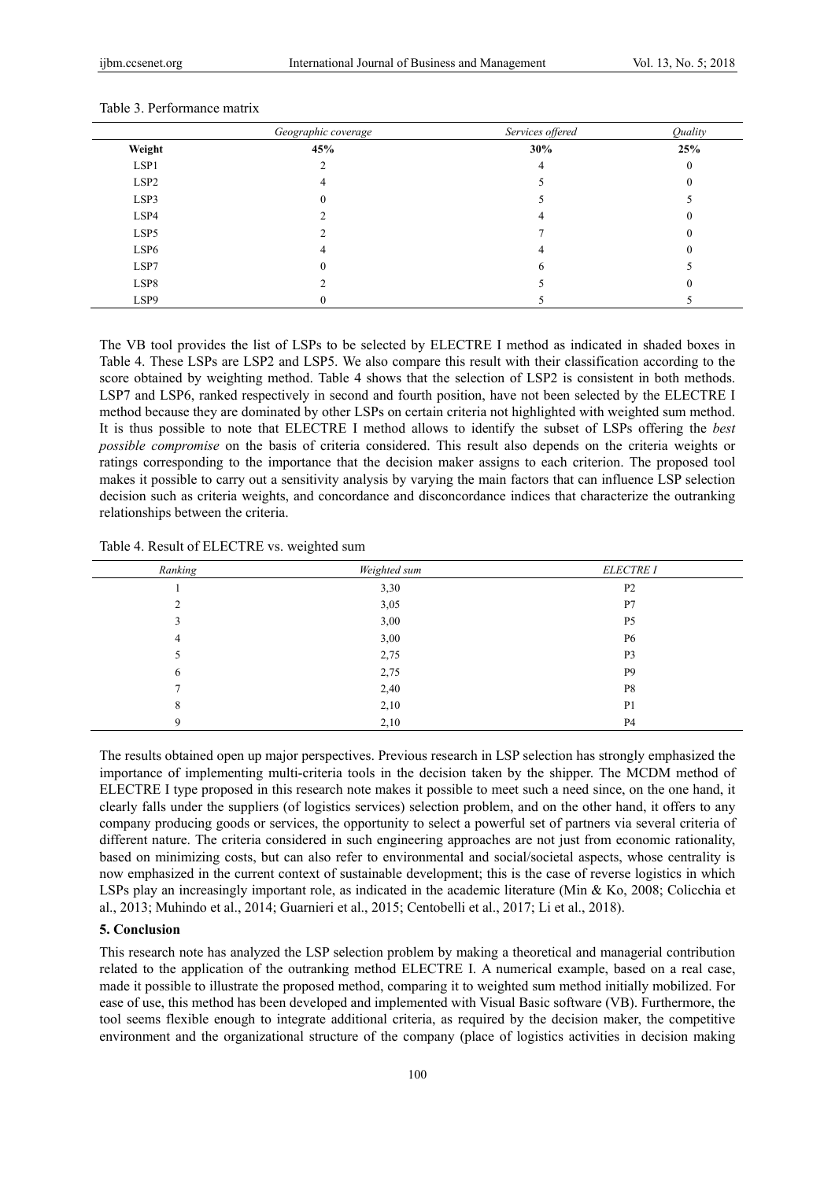|                  | Geographic coverage | Services offered | Quality |
|------------------|---------------------|------------------|---------|
| Weight           | 45%                 | 30%              | 25%     |
| LSP1             | ◠                   | 4                |         |
| LSP <sub>2</sub> | 4                   |                  |         |
| LSP3             |                     |                  |         |
| LSP4             |                     |                  |         |
| LSP5             |                     |                  |         |
| LSP <sub>6</sub> |                     |                  |         |
| LSP7             |                     |                  |         |
| LSP8             |                     |                  |         |
| LSP9             |                     |                  |         |

#### Table 3. Performance matrix

The VB tool provides the list of LSPs to be selected by ELECTRE I method as indicated in shaded boxes in Table 4. These LSPs are LSP2 and LSP5. We also compare this result with their classification according to the score obtained by weighting method. Table 4 shows that the selection of LSP2 is consistent in both methods. LSP7 and LSP6, ranked respectively in second and fourth position, have not been selected by the ELECTRE I method because they are dominated by other LSPs on certain criteria not highlighted with weighted sum method. It is thus possible to note that ELECTRE I method allows to identify the subset of LSPs offering the *best possible compromise* on the basis of criteria considered. This result also depends on the criteria weights or ratings corresponding to the importance that the decision maker assigns to each criterion. The proposed tool makes it possible to carry out a sensitivity analysis by varying the main factors that can influence LSP selection decision such as criteria weights, and concordance and disconcordance indices that characterize the outranking relationships between the criteria.

Table 4. Result of ELECTRE vs. weighted sum

| Ranking | Weighted sum | <b>ELECTRE I</b> |
|---------|--------------|------------------|
|         | 3,30         | P <sub>2</sub>   |
| ◠       | 3,05         | P7               |
|         | 3,00         | P <sub>5</sub>   |
| 4       | 3,00         | P <sub>6</sub>   |
|         | 2,75         | P <sub>3</sub>   |
| 6       | 2,75         | P <sub>9</sub>   |
|         | 2,40         | P8               |
| 8       | 2,10         | P <sub>1</sub>   |
| 9       | 2,10         | P <sub>4</sub>   |

The results obtained open up major perspectives. Previous research in LSP selection has strongly emphasized the importance of implementing multi-criteria tools in the decision taken by the shipper. The MCDM method of ELECTRE I type proposed in this research note makes it possible to meet such a need since, on the one hand, it clearly falls under the suppliers (of logistics services) selection problem, and on the other hand, it offers to any company producing goods or services, the opportunity to select a powerful set of partners via several criteria of different nature. The criteria considered in such engineering approaches are not just from economic rationality, based on minimizing costs, but can also refer to environmental and social/societal aspects, whose centrality is now emphasized in the current context of sustainable development; this is the case of reverse logistics in which LSPs play an increasingly important role, as indicated in the academic literature (Min & Ko, 2008; Colicchia et al., 2013; Muhindo et al., 2014; Guarnieri et al., 2015; Centobelli et al., 2017; Li et al., 2018).

## **5. Conclusion**

This research note has analyzed the LSP selection problem by making a theoretical and managerial contribution related to the application of the outranking method ELECTRE I. A numerical example, based on a real case, made it possible to illustrate the proposed method, comparing it to weighted sum method initially mobilized. For ease of use, this method has been developed and implemented with Visual Basic software (VB). Furthermore, the tool seems flexible enough to integrate additional criteria, as required by the decision maker, the competitive environment and the organizational structure of the company (place of logistics activities in decision making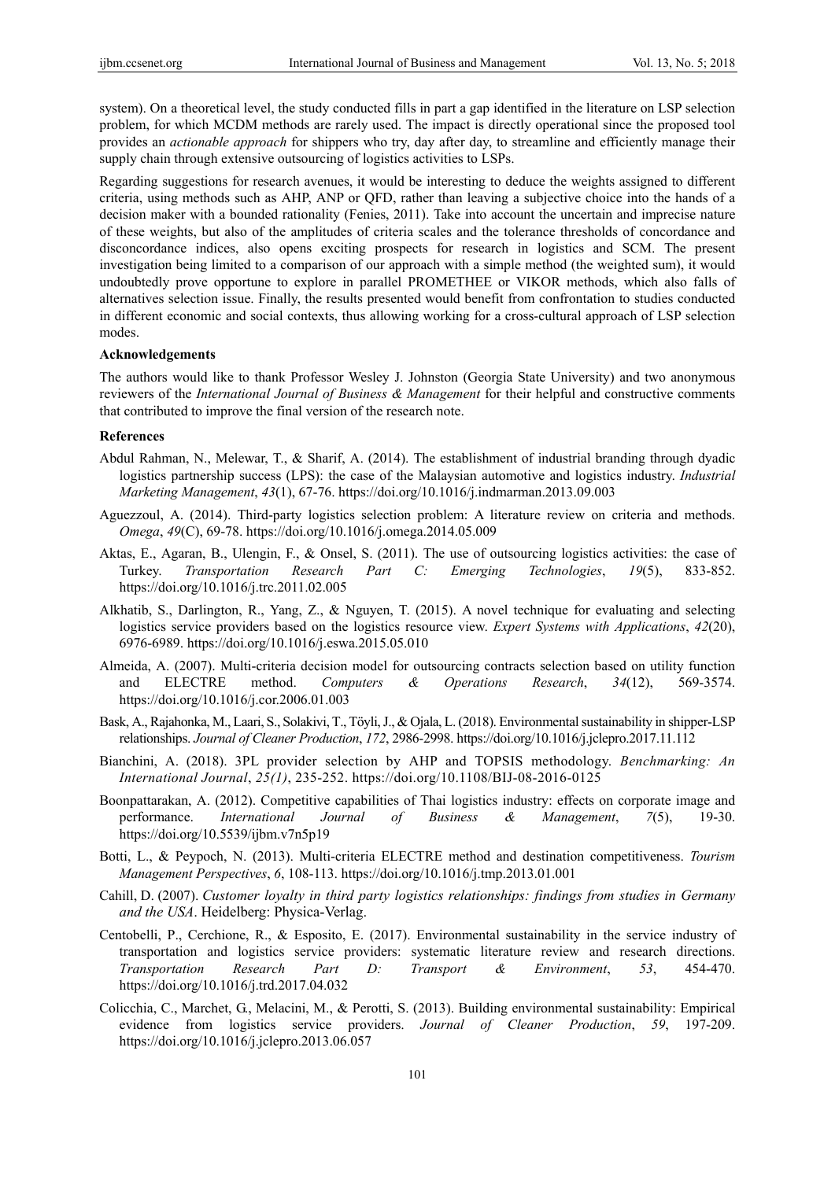system). On a theoretical level, the study conducted fills in part a gap identified in the literature on LSP selection problem, for which MCDM methods are rarely used. The impact is directly operational since the proposed tool provides an *actionable approach* for shippers who try, day after day, to streamline and efficiently manage their supply chain through extensive outsourcing of logistics activities to LSPs.

Regarding suggestions for research avenues, it would be interesting to deduce the weights assigned to different criteria, using methods such as AHP, ANP or QFD, rather than leaving a subjective choice into the hands of a decision maker with a bounded rationality (Fenies, 2011). Take into account the uncertain and imprecise nature of these weights, but also of the amplitudes of criteria scales and the tolerance thresholds of concordance and disconcordance indices, also opens exciting prospects for research in logistics and SCM. The present investigation being limited to a comparison of our approach with a simple method (the weighted sum), it would undoubtedly prove opportune to explore in parallel PROMETHEE or VIKOR methods, which also falls of alternatives selection issue. Finally, the results presented would benefit from confrontation to studies conducted in different economic and social contexts, thus allowing working for a cross-cultural approach of LSP selection modes.

## **Acknowledgements**

The authors would like to thank Professor Wesley J. Johnston (Georgia State University) and two anonymous reviewers of the *International Journal of Business & Management* for their helpful and constructive comments that contributed to improve the final version of the research note.

## **References**

- Abdul Rahman, N., Melewar, T., & Sharif, A. (2014). The establishment of industrial branding through dyadic logistics partnership success (LPS): the case of the Malaysian automotive and logistics industry. *Industrial Marketing Management*, *43*(1), 67-76. https://doi.org/10.1016/j.indmarman.2013.09.003
- Aguezzoul, A. (2014). Third-party logistics selection problem: A literature review on criteria and methods. *Omega*, *49*(C), 69-78. https://doi.org/10.1016/j.omega.2014.05.009
- Aktas, E., Agaran, B., Ulengin, F., & Onsel, S. (2011). The use of outsourcing logistics activities: the case of Turkey. *Transportation Research Part C: Emerging Technologies*, *19*(5), 833-852. https://doi.org/10.1016/j.trc.2011.02.005
- Alkhatib, S., Darlington, R., Yang, Z., & Nguyen, T. (2015). A novel technique for evaluating and selecting logistics service providers based on the logistics resource view. *Expert Systems with Applications*, *42*(20), 6976-6989. https://doi.org/10.1016/j.eswa.2015.05.010
- Almeida, A. (2007). Multi-criteria decision model for outsourcing contracts selection based on utility function and ELECTRE method. *Computers & Operations Research*, *34*(12), 569-3574. https://doi.org/10.1016/j.cor.2006.01.003
- Bask, A., Rajahonka, M., Laari, S., Solakivi, T., Töyli, J., & Ojala, L. (2018). Environmental sustainability in shipper-LSP relationships. *Journal of Cleaner Production*, *172*, 2986-2998. https://doi.org/10.1016/j.jclepro.2017.11.112
- Bianchini, A. (2018). 3PL provider selection by AHP and TOPSIS methodology. *Benchmarking: An International Journal*, *25(1)*, 235-252. https://doi.org/10.1108/BIJ-08-2016-0125
- Boonpattarakan, A. (2012). Competitive capabilities of Thai logistics industry: effects on corporate image and performance. *International Journal of Business & Management*, *7*(5), 19-30. https://doi.org/10.5539/ijbm.v7n5p19
- Botti, L., & Peypoch, N. (2013). Multi-criteria ELECTRE method and destination competitiveness. *Tourism Management Perspectives*, *6*, 108-113. https://doi.org/10.1016/j.tmp.2013.01.001
- Cahill, D. (2007). *Customer loyalty in third party logistics relationships: findings from studies in Germany and the USA*. Heidelberg: Physica-Verlag.
- Centobelli, P., Cerchione, R., & Esposito, E. (2017). Environmental sustainability in the service industry of transportation and logistics service providers: systematic literature review and research directions. *Transportation Research Part D: Transport & Environment*, *53*, 454-470. https://doi.org/10.1016/j.trd.2017.04.032
- Colicchia, C., Marchet, G., Melacini, M., & Perotti, S. (2013). Building environmental sustainability: Empirical evidence from logistics service providers. *Journal of Cleaner Production*, *59*, 197-209. https://doi.org/10.1016/j.jclepro.2013.06.057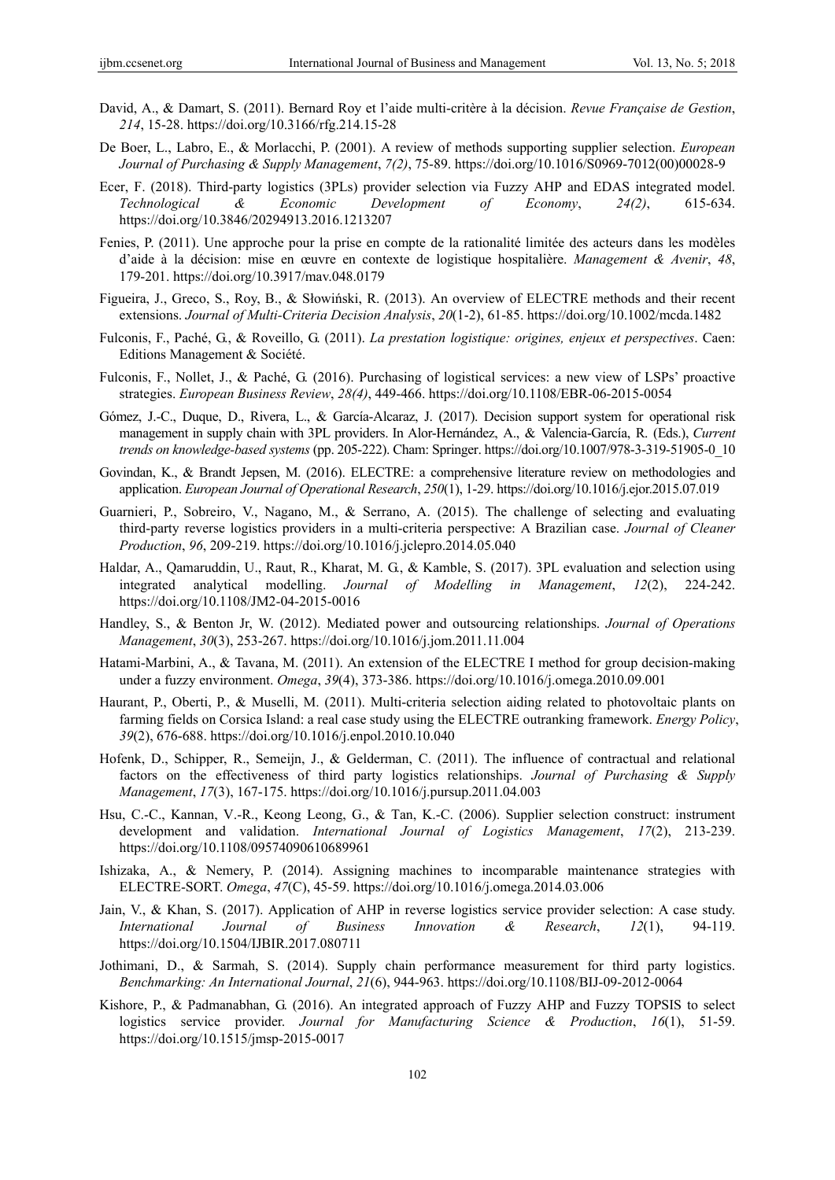- David, A., & Damart, S. (2011). Bernard Roy et l'aide multi-critère à la décision. *Revue Française de Gestion*, *214*, 15-28. https://doi.org/10.3166/rfg.214.15-28
- De Boer, L., Labro, E., & Morlacchi, P. (2001). A review of methods supporting supplier selection. *European Journal of Purchasing & Supply Management*, *7(2)*, 75-89. https://doi.org/10.1016/S0969-7012(00)00028-9
- Ecer, F. (2018). Third-party logistics (3PLs) provider selection via Fuzzy AHP and EDAS integrated model. *Technological & Economic Development of Economy*, *24(2)*, 615-634. https://doi.org/10.3846/20294913.2016.1213207
- Fenies, P. (2011). Une approche pour la prise en compte de la rationalité limitée des acteurs dans les modèles d'aide à la décision: mise en œuvre en contexte de logistique hospitalière. *Management & Avenir*, *48*, 179-201. https://doi.org/10.3917/mav.048.0179
- Figueira, J., Greco, S., Roy, B., & Słowiński, R. (2013). An overview of ELECTRE methods and their recent extensions. *Journal of Multi-Criteria Decision Analysis*, *20*(1-2), 61-85. https://doi.org/10.1002/mcda.1482
- Fulconis, F., Paché, G., & Roveillo, G. (2011). *La prestation logistique: origines, enjeux et perspectives*. Caen: Editions Management & Société.
- Fulconis, F., Nollet, J., & Paché, G. (2016). Purchasing of logistical services: a new view of LSPs' proactive strategies. *European Business Review*, *28(4)*, 449-466. https://doi.org/10.1108/EBR-06-2015-0054
- Gómez, J.-C., Duque, D., Rivera, L., & García-Alcaraz, J. (2017). Decision support system for operational risk management in supply chain with 3PL providers. In Alor-Hernández, A., & Valencia-García, R. (Eds.), *Current trends on knowledge-based systems* (pp. 205-222). Cham: Springer. https://doi.org/10.1007/978-3-319-51905-0\_10
- Govindan, K., & Brandt Jepsen, M. (2016). ELECTRE: a comprehensive literature review on methodologies and application. *European Journal of Operational Research*, *250*(1), 1-29. https://doi.org/10.1016/j.ejor.2015.07.019
- Guarnieri, P., Sobreiro, V., Nagano, M., & Serrano, A. (2015). The challenge of selecting and evaluating third-party reverse logistics providers in a multi-criteria perspective: A Brazilian case. *Journal of Cleaner Production*, *96*, 209-219. https://doi.org/10.1016/j.jclepro.2014.05.040
- Haldar, A., Qamaruddin, U., Raut, R., Kharat, M. G., & Kamble, S. (2017). 3PL evaluation and selection using integrated analytical modelling. *Journal of Modelling in Management*, *12*(2), 224-242. https://doi.org/10.1108/JM2-04-2015-0016
- Handley, S., & Benton Jr, W. (2012). Mediated power and outsourcing relationships. *Journal of Operations Management*, *30*(3), 253-267. https://doi.org/10.1016/j.jom.2011.11.004
- Hatami-Marbini, A., & Tavana, M. (2011). An extension of the ELECTRE I method for group decision-making under a fuzzy environment. *Omega*, *39*(4), 373-386. https://doi.org/10.1016/j.omega.2010.09.001
- Haurant, P., Oberti, P., & Muselli, M. (2011). Multi-criteria selection aiding related to photovoltaic plants on farming fields on Corsica Island: a real case study using the ELECTRE outranking framework. *Energy Policy*, *39*(2), 676-688. https://doi.org/10.1016/j.enpol.2010.10.040
- Hofenk, D., Schipper, R., Semeijn, J., & Gelderman, C. (2011). The influence of contractual and relational factors on the effectiveness of third party logistics relationships. *Journal of Purchasing & Supply Management*, *17*(3), 167-175. https://doi.org/10.1016/j.pursup.2011.04.003
- Hsu, C.-C., Kannan, V.-R., Keong Leong, G., & Tan, K.-C. (2006). Supplier selection construct: instrument development and validation. *International Journal of Logistics Management*, *17*(2), 213-239. https://doi.org/10.1108/09574090610689961
- Ishizaka, A., & Nemery, P. (2014). Assigning machines to incomparable maintenance strategies with ELECTRE-SORT. *Omega*, *47*(C), 45-59. https://doi.org/10.1016/j.omega.2014.03.006
- Jain, V., & Khan, S. (2017). Application of AHP in reverse logistics service provider selection: A case study. *International Journal of Business Innovation & Research*, *12*(1), 94-119. https://doi.org/10.1504/IJBIR.2017.080711
- Jothimani, D., & Sarmah, S. (2014). Supply chain performance measurement for third party logistics. *Benchmarking: An International Journal*, *21*(6), 944-963. https://doi.org/10.1108/BIJ-09-2012-0064
- Kishore, P., & Padmanabhan, G. (2016). An integrated approach of Fuzzy AHP and Fuzzy TOPSIS to select logistics service provider. *Journal for Manufacturing Science & Production*, *16*(1), 51-59. https://doi.org/10.1515/jmsp-2015-0017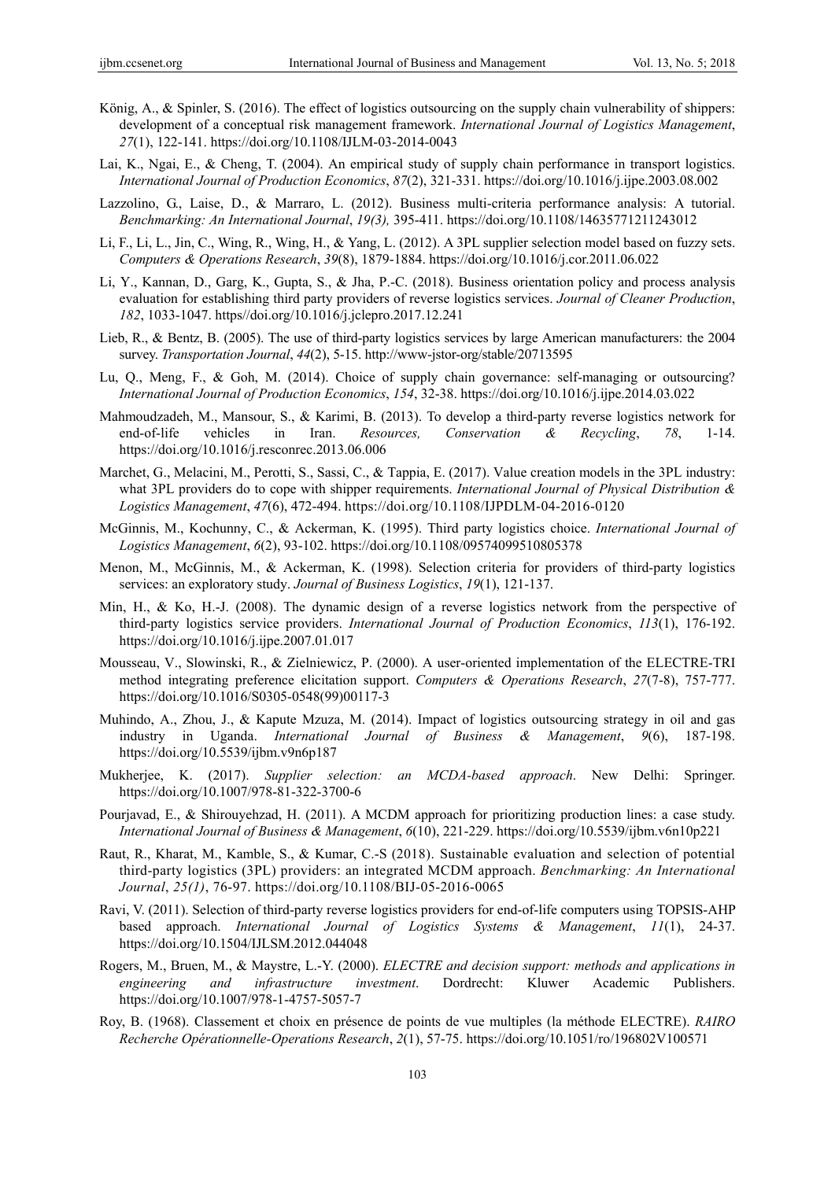- König, A., & Spinler, S. (2016). The effect of logistics outsourcing on the supply chain vulnerability of shippers: development of a conceptual risk management framework. *International Journal of Logistics Management*, *27*(1), 122-141. https://doi.org/10.1108/IJLM-03-2014-0043
- Lai, K., Ngai, E., & Cheng, T. (2004). An empirical study of supply chain performance in transport logistics. *International Journal of Production Economics*, *87*(2), 321-331. https://doi.org/10.1016/j.ijpe.2003.08.002
- Lazzolino, G., Laise, D., & Marraro, L. (2012). Business multi-criteria performance analysis: A tutorial. *Benchmarking: An International Journal*, *19(3),* 395-411. https://doi.org/10.1108/14635771211243012
- Li, F., Li, L., Jin, C., Wing, R., Wing, H., & Yang, L. (2012). A 3PL supplier selection model based on fuzzy sets. *Computers & Operations Research*, *39*(8), 1879-1884. https://doi.org/10.1016/j.cor.2011.06.022
- Li, Y., Kannan, D., Garg, K., Gupta, S., & Jha, P.-C. (2018). Business orientation policy and process analysis evaluation for establishing third party providers of reverse logistics services. *Journal of Cleaner Production*, *182*, 1033-1047. https//doi.org/10.1016/j.jclepro.2017.12.241
- Lieb, R., & Bentz, B. (2005). The use of third-party logistics services by large American manufacturers: the 2004 survey. *Transportation Journal*, *44*(2), 5-15. http://www-jstor-org/stable/20713595
- Lu, Q., Meng, F., & Goh, M. (2014). Choice of supply chain governance: self-managing or outsourcing? *International Journal of Production Economics*, *154*, 32-38. https://doi.org/10.1016/j.ijpe.2014.03.022
- Mahmoudzadeh, M., Mansour, S., & Karimi, B. (2013). To develop a third-party reverse logistics network for end-of-life vehicles in Iran. *Resources, Conservation & Recycling*, *78*, 1-14. https://doi.org/10.1016/j.resconrec.2013.06.006
- Marchet, G., Melacini, M., Perotti, S., Sassi, C., & Tappia, E. (2017). Value creation models in the 3PL industry: what 3PL providers do to cope with shipper requirements. *International Journal of Physical Distribution & Logistics Management*, *47*(6), 472-494. https://doi.org/10.1108/IJPDLM-04-2016-0120
- McGinnis, M., Kochunny, C., & Ackerman, K. (1995). Third party logistics choice. *International Journal of Logistics Management*, *6*(2), 93-102. https://doi.org/10.1108/09574099510805378
- Menon, M., McGinnis, M., & Ackerman, K. (1998). Selection criteria for providers of third-party logistics services: an exploratory study. *Journal of Business Logistics*, *19*(1), 121-137.
- Min, H., & Ko, H.-J. (2008). The dynamic design of a reverse logistics network from the perspective of third-party logistics service providers. *International Journal of Production Economics*, *113*(1), 176-192. https://doi.org/10.1016/j.ijpe.2007.01.017
- Mousseau, V., Slowinski, R., & Zielniewicz, P. (2000). A user-oriented implementation of the ELECTRE-TRI method integrating preference elicitation support. *Computers & Operations Research*, *27*(7-8), 757-777. https://doi.org/10.1016/S0305-0548(99)00117-3
- Muhindo, A., Zhou, J., & Kapute Mzuza, M. (2014). Impact of logistics outsourcing strategy in oil and gas industry in Uganda. *International Journal of Business & Management*, *9*(6), 187-198. https://doi.org/10.5539/ijbm.v9n6p187
- Mukherjee, K. (2017). *Supplier selection: an MCDA-based approach*. New Delhi: Springer. https://doi.org/10.1007/978-81-322-3700-6
- Pourjavad, E., & Shirouyehzad, H. (2011). A MCDM approach for prioritizing production lines: a case study. *International Journal of Business & Management*, *6*(10), 221-229. https://doi.org/10.5539/ijbm.v6n10p221
- Raut, R., Kharat, M., Kamble, S., & Kumar, C.-S (2018). Sustainable evaluation and selection of potential third-party logistics (3PL) providers: an integrated MCDM approach. *Benchmarking: An International Journal*, *25(1)*, 76-97. https://doi.org/10.1108/BIJ-05-2016-0065
- Ravi, V. (2011). Selection of third-party reverse logistics providers for end-of-life computers using TOPSIS-AHP based approach. *International Journal of Logistics Systems & Management*, *11*(1), 24-37. https://doi.org/10.1504/IJLSM.2012.044048
- Rogers, M., Bruen, M., & Maystre, L.-Y. (2000). *ELECTRE and decision support: methods and applications in engineering and infrastructure investment*. Dordrecht: Kluwer Academic Publishers. https://doi.org/10.1007/978-1-4757-5057-7
- Roy, B. (1968). Classement et choix en présence de points de vue multiples (la méthode ELECTRE). *RAIRO Recherche Opérationnelle-Operations Research*, *2*(1), 57-75. https://doi.org/10.1051/ro/196802V100571